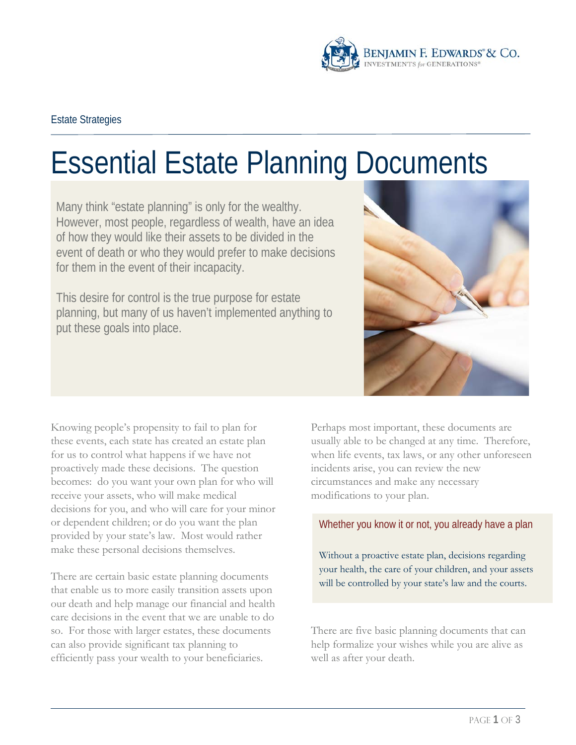

# Essential Estate Planning Documents

Many think "estate planning" is only for the wealthy. However, most people, regardless of wealth, have an idea of how they would like their assets to be divided in the event of death or who they would prefer to make decisions for them in the event of their incapacity.

This desire for control is the true purpose for estate planning, but many of us haven't implemented anything to put these goals into place.



Knowing people's propensity to fail to plan for these events, each state has created an estate plan for us to control what happens if we have not proactively made these decisions. The question becomes: do you want your own plan for who will receive your assets, who will make medical decisions for you, and who will care for your minor or dependent children; or do you want the plan provided by your state's law. Most would rather make these personal decisions themselves.

There are certain basic estate planning documents that enable us to more easily transition assets upon our death and help manage our financial and health care decisions in the event that we are unable to do so. For those with larger estates, these documents can also provide significant tax planning to efficiently pass your wealth to your beneficiaries.

Perhaps most important, these documents are usually able to be changed at any time. Therefore, when life events, tax laws, or any other unforeseen incidents arise, you can review the new circumstances and make any necessary modifications to your plan.

Whether you know it or not, you already have a plan

Without a proactive estate plan, decisions regarding your health, the care of your children, and your assets will be controlled by your state's law and the courts.

There are five basic planning documents that can help formalize your wishes while you are alive as well as after your death.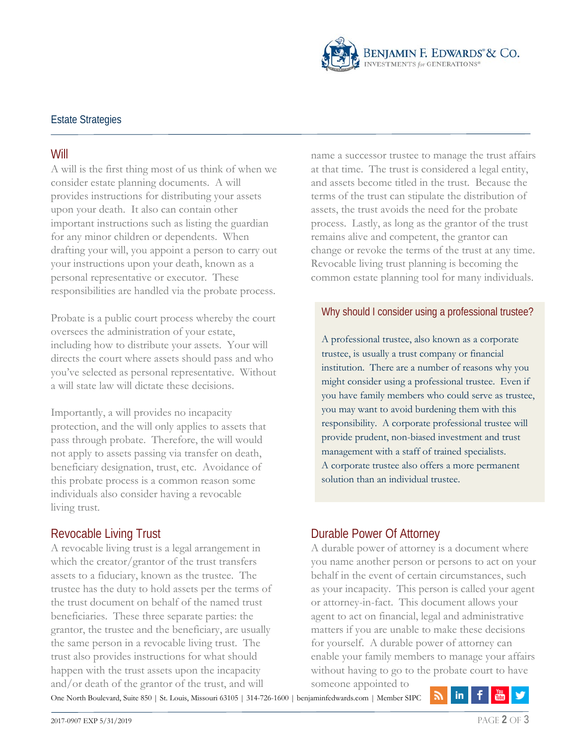

### Estate Strategies

#### **Will**

A will is the first thing most of us think of when we consider estate planning documents. A will provides instructions for distributing your assets upon your death. It also can contain other important instructions such as listing the guardian for any minor children or dependents. When drafting your will, you appoint a person to carry out your instructions upon your death, known as a personal representative or executor. These responsibilities are handled via the probate process.

Probate is a public court process whereby the court oversees the administration of your estate, including how to distribute your assets. Your will directs the court where assets should pass and who you've selected as personal representative. Without a will state law will dictate these decisions.

Importantly, a will provides no incapacity protection, and the will only applies to assets that pass through probate. Therefore, the will would not apply to assets passing via transfer on death, beneficiary designation, trust, etc. Avoidance of this probate process is a common reason some individuals also consider having a revocable living trust.

#### Revocable Living Trust

A revocable living trust is a legal arrangement in which the creator/grantor of the trust transfers assets to a fiduciary, known as the trustee. The trustee has the duty to hold assets per the terms of the trust document on behalf of the named trust beneficiaries. These three separate parties: the grantor, the trustee and the beneficiary, are usually the same person in a revocable living trust. The trust also provides instructions for what should happen with the trust assets upon the incapacity and/or death of the grantor of the trust, and will

name a successor trustee to manage the trust affairs at that time. The trust is considered a legal entity, and assets become titled in the trust. Because the terms of the trust can stipulate the distribution of assets, the trust avoids the need for the probate process. Lastly, as long as the grantor of the trust remains alive and competent, the grantor can change or revoke the terms of the trust at any time. Revocable living trust planning is becoming the common estate planning tool for many individuals.

#### Why should I consider using a professional trustee?

A professional trustee, also known as a corporate trustee, is usually a trust company or financial institution. There are a number of reasons why you might consider using a professional trustee. Even if you have family members who could serve as trustee, you may want to avoid burdening them with this responsibility. A corporate professional trustee will provide prudent, non-biased investment and trust management with a staff of trained specialists. A corporate trustee also offers a more permanent solution than an individual trustee.

# Durable Power Of Attorney

A durable power of attorney is a document where you name another person or persons to act on your behalf in the event of certain circumstances, such as your incapacity. This person is called your agent or attorney-in-fact. This document allows your agent to act on financial, legal and administrative matters if you are unable to make these decisions for yourself. A durable power of attorney can enable your family members to manage your affairs without having to go to the probate court to have someone appointed to

One North Boulevard, Suite 850 | St. Louis, Missouri 63105 | 314-726-1600 | benjaminfedwards.com | Member SIPC